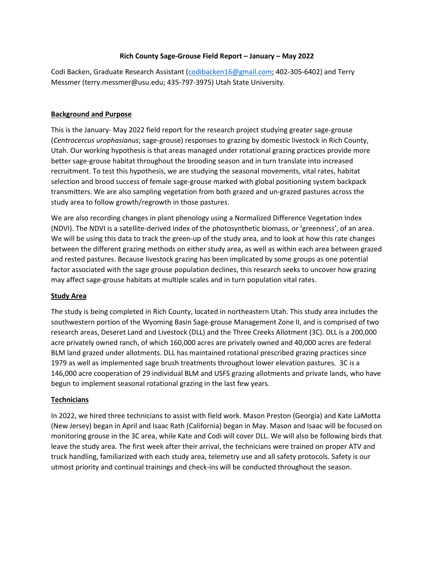# **Rich County Sage-Grouse Field Report – January – May 2022**

Codi Backen, Graduate Research Assistant [\(codibacken16@gmail.com;](mailto:codibacken16@gmail.com) 402-305-6402) and Terry Messmer (terry.messmer@usu.edu; 435-797-3975) Utah State University.

## **Background and Purpose**

This is the January- May 2022 field report for the research project studying greater sage-grouse (*Centrocercus urophasianus*; sage-grouse) responses to grazing by domestic livestock in Rich County, Utah. Our working hypothesis is that areas managed under rotational grazing practices provide more better sage-grouse habitat throughout the brooding season and in turn translate into increased recruitment. To test this hypothesis, we are studying the seasonal movements, vital rates, habitat selection and brood success of female sage-grouse marked with global positioning system backpack transmitters. We are also sampling vegetation from both grazed and un-grazed pastures across the study area to follow growth/regrowth in those pastures.

We are also recording changes in plant phenology using a Normalized Difference Vegetation Index (NDVI). The NDVI is a satellite-derived index of the photosynthetic biomass, or 'greenness', of an area. We will be using this data to track the green-up of the study area, and to look at how this rate changes between the different grazing methods on either study area, as well as within each area between grazed and rested pastures. Because livestock grazing has been implicated by some groups as one potential factor associated with the sage grouse population declines, this research seeks to uncover how grazing may affect sage-grouse habitats at multiple scales and in turn population vital rates.

#### **Study Area**

The study is being completed in Rich County, located in northeastern Utah. This study area includes the southwestern portion of the Wyoming Basin Sage-grouse Management Zone II, and is comprised of two research areas, Deseret Land and Livestock (DLL) and the Three Creeks Allotment (3C). DLL is a 200,000 acre privately owned ranch, of which 160,000 acres are privately owned and 40,000 acres are federal BLM land grazed under allotments. DLL has maintained rotational prescribed grazing practices since 1979 as well as implemented sage brush treatments throughout lower elevation pastures. 3C is a 146,000 acre cooperation of 29 individual BLM and USFS grazing allotments and private lands, who have begun to implement seasonal rotational grazing in the last few years.

# **Technicians**

In 2022, we hired three technicians to assist with field work. Mason Preston (Georgia) and Kate LaMotta (New Jersey) began in April and Isaac Rath (California) began in May. Mason and Isaac will be focused on monitoring grouse in the 3C area, while Kate and Codi will cover DLL. We will also be following birds that leave the study area. The first week after their arrival, the technicians were trained on proper ATV and truck handling, familiarized with each study area, telemetry use and all safety protocols. Safety is our utmost priority and continual trainings and check-ins will be conducted throughout the season.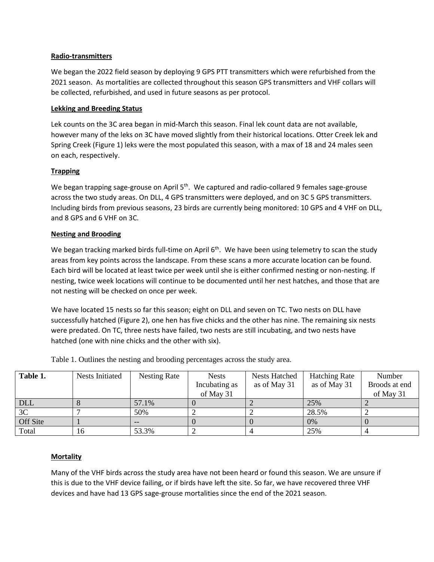# **Radio-transmitters**

We began the 2022 field season by deploying 9 GPS PTT transmitters which were refurbished from the 2021 season. As mortalities are collected throughout this season GPS transmitters and VHF collars will be collected, refurbished, and used in future seasons as per protocol.

## **Lekking and Breeding Status**

Lek counts on the 3C area began in mid-March this season. Final lek count data are not available, however many of the leks on 3C have moved slightly from their historical locations. Otter Creek lek and Spring Creek (Figure 1) leks were the most populated this season, with a max of 18 and 24 males seen on each, respectively.

# **Trapping**

We began trapping sage-grouse on April 5<sup>th</sup>. We captured and radio-collared 9 females sage-grouse across the two study areas. On DLL, 4 GPS transmitters were deployed, and on 3C 5 GPS transmitters. Including birds from previous seasons, 23 birds are currently being monitored: 10 GPS and 4 VHF on DLL, and 8 GPS and 6 VHF on 3C.

# **Nesting and Brooding**

We began tracking marked birds full-time on April 6<sup>th</sup>. We have been using telemetry to scan the study areas from key points across the landscape. From these scans a more accurate location can be found. Each bird will be located at least twice per week until she is either confirmed nesting or non-nesting. If nesting, twice week locations will continue to be documented until her nest hatches, and those that are not nesting will be checked on once per week.

We have located 15 nests so far this season; eight on DLL and seven on TC. Two nests on DLL have successfully hatched (Figure 2), one hen has five chicks and the other has nine. The remaining six nests were predated. On TC, three nests have failed, two nests are still incubating, and two nests have hatched (one with nine chicks and the other with six).

| Table 1.   | <b>Nests Initiated</b> | Nesting Rate | <b>Nests</b>  | <b>Nests Hatched</b> | <b>Hatching Rate</b> | Number        |
|------------|------------------------|--------------|---------------|----------------------|----------------------|---------------|
|            |                        |              | Incubating as | as of May 31         | as of May 31         | Broods at end |
|            |                        |              | of May 31     |                      |                      | of May 31     |
| <b>DLL</b> |                        | 57.1%        |               |                      | 25%                  |               |
| 3C         |                        | 50%          |               |                      | 28.5%                |               |
| Off Site   |                        |              |               |                      | 0%                   |               |
| Total      | 16                     | 53.3%        |               |                      | 25%                  |               |

Table 1. Outlines the nesting and brooding percentages across the study area.

#### **Mortality**

Many of the VHF birds across the study area have not been heard or found this season. We are unsure if this is due to the VHF device failing, or if birds have left the site. So far, we have recovered three VHF devices and have had 13 GPS sage-grouse mortalities since the end of the 2021 season.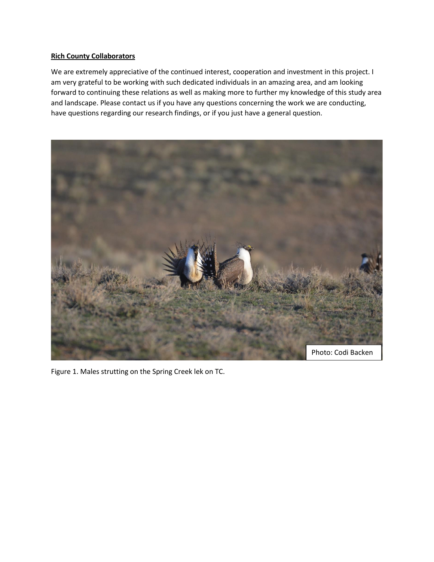# **Rich County Collaborators**

We are extremely appreciative of the continued interest, cooperation and investment in this project. I am very grateful to be working with such dedicated individuals in an amazing area, and am looking forward to continuing these relations as well as making more to further my knowledge of this study area and landscape. Please contact us if you have any questions concerning the work we are conducting, have questions regarding our research findings, or if you just have a general question.



Figure 1. Males strutting on the Spring Creek lek on TC.